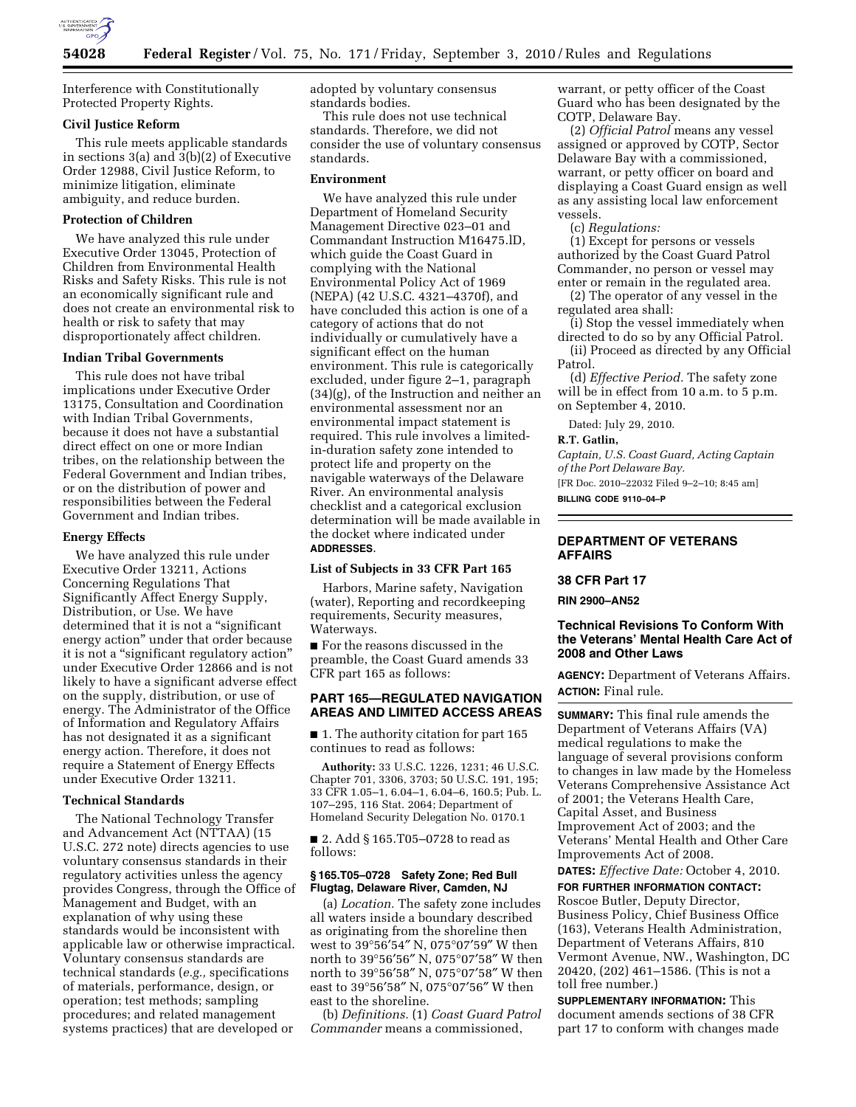

Interference with Constitutionally Protected Property Rights.

### **Civil Justice Reform**

This rule meets applicable standards in sections 3(a) and 3(b)(2) of Executive Order 12988, Civil Justice Reform, to minimize litigation, eliminate ambiguity, and reduce burden.

# **Protection of Children**

We have analyzed this rule under Executive Order 13045, Protection of Children from Environmental Health Risks and Safety Risks. This rule is not an economically significant rule and does not create an environmental risk to health or risk to safety that may disproportionately affect children.

### **Indian Tribal Governments**

This rule does not have tribal implications under Executive Order 13175, Consultation and Coordination with Indian Tribal Governments, because it does not have a substantial direct effect on one or more Indian tribes, on the relationship between the Federal Government and Indian tribes, or on the distribution of power and responsibilities between the Federal Government and Indian tribes.

### **Energy Effects**

We have analyzed this rule under Executive Order 13211, Actions Concerning Regulations That Significantly Affect Energy Supply, Distribution, or Use. We have determined that it is not a ''significant energy action'' under that order because it is not a "significant regulatory action" under Executive Order 12866 and is not likely to have a significant adverse effect on the supply, distribution, or use of energy. The Administrator of the Office of Information and Regulatory Affairs has not designated it as a significant energy action. Therefore, it does not require a Statement of Energy Effects under Executive Order 13211.

#### **Technical Standards**

The National Technology Transfer and Advancement Act (NTTAA) (15 U.S.C. 272 note) directs agencies to use voluntary consensus standards in their regulatory activities unless the agency provides Congress, through the Office of Management and Budget, with an explanation of why using these standards would be inconsistent with applicable law or otherwise impractical. Voluntary consensus standards are technical standards (*e.g.,* specifications of materials, performance, design, or operation; test methods; sampling procedures; and related management systems practices) that are developed or

adopted by voluntary consensus standards bodies.

This rule does not use technical standards. Therefore, we did not consider the use of voluntary consensus standards.

#### **Environment**

We have analyzed this rule under Department of Homeland Security Management Directive 023–01 and Commandant Instruction M16475.lD, which guide the Coast Guard in complying with the National Environmental Policy Act of 1969 (NEPA) (42 U.S.C. 4321–4370f), and have concluded this action is one of a category of actions that do not individually or cumulatively have a significant effect on the human environment. This rule is categorically excluded, under figure 2–1, paragraph (34)(g), of the Instruction and neither an environmental assessment nor an environmental impact statement is required. This rule involves a limitedin-duration safety zone intended to protect life and property on the navigable waterways of the Delaware River. An environmental analysis checklist and a categorical exclusion determination will be made available in the docket where indicated under **ADDRESSES**.

#### **List of Subjects in 33 CFR Part 165**

Harbors, Marine safety, Navigation (water), Reporting and recordkeeping requirements, Security measures, Waterways.

■ For the reasons discussed in the preamble, the Coast Guard amends 33 CFR part 165 as follows:

## **PART 165—REGULATED NAVIGATION AREAS AND LIMITED ACCESS AREAS**

■ 1. The authority citation for part 165 continues to read as follows:

**Authority:** 33 U.S.C. 1226, 1231; 46 U.S.C. Chapter 701, 3306, 3703; 50 U.S.C. 191, 195; 33 CFR 1.05–1, 6.04–1, 6.04–6, 160.5; Pub. L. 107–295, 116 Stat. 2064; Department of Homeland Security Delegation No. 0170.1

■ 2. Add § 165.T05–0728 to read as follows:

# **§ 165.T05–0728 Safety Zone; Red Bull Flugtag, Delaware River, Camden, NJ**

(a) *Location.* The safety zone includes all waters inside a boundary described as originating from the shoreline then west to 39°56′54″ N, 075°07′59″ W then north to 39°56′56″ N, 075°07′58″ W then north to 39°56′58″ N, 075°07′58″ W then east to 39°56′58″ N, 075°07′56″ W then east to the shoreline.

(b) *Definitions.* (1) *Coast Guard Patrol Commander* means a commissioned,

warrant, or petty officer of the Coast Guard who has been designated by the COTP, Delaware Bay.

(2) *Official Patrol* means any vessel assigned or approved by COTP, Sector Delaware Bay with a commissioned, warrant, or petty officer on board and displaying a Coast Guard ensign as well as any assisting local law enforcement vessels.

(c) *Regulations:* 

(1) Except for persons or vessels authorized by the Coast Guard Patrol Commander, no person or vessel may enter or remain in the regulated area.

(2) The operator of any vessel in the regulated area shall:

(i) Stop the vessel immediately when directed to do so by any Official Patrol.

(ii) Proceed as directed by any Official Patrol.

(d) *Effective Period.* The safety zone will be in effect from 10 a.m. to 5 p.m. on September 4, 2010.

Dated: July 29, 2010.

# **R.T. Gatlin,**

*Captain, U.S. Coast Guard, Acting Captain of the Port Delaware Bay.* 

[FR Doc. 2010–22032 Filed 9–2–10; 8:45 am] **BILLING CODE 9110–04–P** 

# **DEPARTMENT OF VETERANS AFFAIRS**

# **38 CFR Part 17**

**RIN 2900–AN52** 

# **Technical Revisions To Conform With the Veterans' Mental Health Care Act of 2008 and Other Laws**

**AGENCY:** Department of Veterans Affairs. **ACTION:** Final rule.

**SUMMARY:** This final rule amends the Department of Veterans Affairs (VA) medical regulations to make the language of several provisions conform to changes in law made by the Homeless Veterans Comprehensive Assistance Act of 2001; the Veterans Health Care, Capital Asset, and Business Improvement Act of 2003; and the Veterans' Mental Health and Other Care Improvements Act of 2008.

**DATES:** *Effective Date:* October 4, 2010.

**FOR FURTHER INFORMATION CONTACT:**  Roscoe Butler, Deputy Director, Business Policy, Chief Business Office (163), Veterans Health Administration, Department of Veterans Affairs, 810 Vermont Avenue, NW., Washington, DC 20420, (202) 461–1586. (This is not a toll free number.)

**SUPPLEMENTARY INFORMATION:** This document amends sections of 38 CFR part 17 to conform with changes made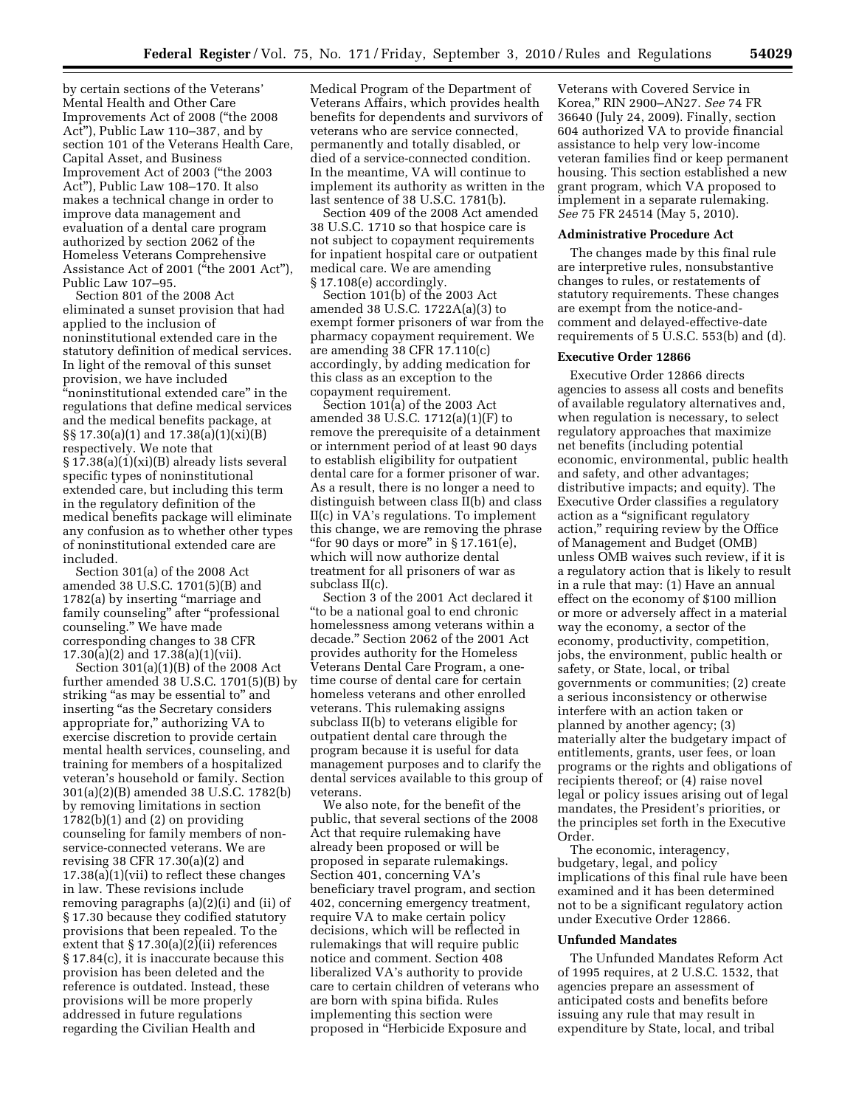by certain sections of the Veterans' Mental Health and Other Care Improvements Act of 2008 (''the 2008 Act''), Public Law 110–387, and by section 101 of the Veterans Health Care, Capital Asset, and Business Improvement Act of 2003 (''the 2003 Act''), Public Law 108–170. It also makes a technical change in order to improve data management and evaluation of a dental care program authorized by section 2062 of the Homeless Veterans Comprehensive Assistance Act of 2001 ("the 2001 Act"), Public Law 107–95.

Section 801 of the 2008 Act eliminated a sunset provision that had applied to the inclusion of noninstitutional extended care in the statutory definition of medical services. In light of the removal of this sunset provision, we have included ''noninstitutional extended care'' in the regulations that define medical services and the medical benefits package, at §§ 17.30(a)(1) and 17.38(a)(1)(xi)(B) respectively. We note that § 17.38(a)(1)(xi)(B) already lists several specific types of noninstitutional extended care, but including this term in the regulatory definition of the medical benefits package will eliminate any confusion as to whether other types of noninstitutional extended care are included.

Section 301(a) of the 2008 Act amended 38 U.S.C. 1701(5)(B) and 1782(a) by inserting "marriage and family counseling" after "professional counseling.'' We have made corresponding changes to 38 CFR 17.30(a)(2) and 17.38(a)(1)(vii).

Section 301(a)(1)(B) of the 2008 Act further amended 38 U.S.C. 1701(5)(B) by striking "as may be essential to" and inserting "as the Secretary considers appropriate for,'' authorizing VA to exercise discretion to provide certain mental health services, counseling, and training for members of a hospitalized veteran's household or family. Section 301(a)(2)(B) amended 38 U.S.C. 1782(b) by removing limitations in section  $1782(b)(1)$  and  $(2)$  on providing counseling for family members of nonservice-connected veterans. We are revising 38 CFR 17.30(a)(2) and 17.38(a)(1)(vii) to reflect these changes in law. These revisions include removing paragraphs (a)(2)(i) and (ii) of § 17.30 because they codified statutory provisions that been repealed. To the extent that § 17.30(a)(2)(ii) references § 17.84(c), it is inaccurate because this provision has been deleted and the reference is outdated. Instead, these provisions will be more properly addressed in future regulations regarding the Civilian Health and

Medical Program of the Department of Veterans Affairs, which provides health benefits for dependents and survivors of veterans who are service connected, permanently and totally disabled, or died of a service-connected condition. In the meantime, VA will continue to implement its authority as written in the last sentence of 38 U.S.C. 1781(b).

Section 409 of the 2008 Act amended 38 U.S.C. 1710 so that hospice care is not subject to copayment requirements for inpatient hospital care or outpatient medical care. We are amending § 17.108(e) accordingly.

Section 101(b) of the 2003 Act amended 38 U.S.C. 1722A(a)(3) to exempt former prisoners of war from the pharmacy copayment requirement. We are amending 38 CFR 17.110(c) accordingly, by adding medication for this class as an exception to the copayment requirement.

Section 101(a) of the 2003 Act amended 38 U.S.C. 1712(a)(1)(F) to remove the prerequisite of a detainment or internment period of at least 90 days to establish eligibility for outpatient dental care for a former prisoner of war. As a result, there is no longer a need to distinguish between class II(b) and class II(c) in VA's regulations. To implement this change, we are removing the phrase "for 90 days or more" in § 17.161(e), which will now authorize dental treatment for all prisoners of war as subclass II(c).

Section 3 of the 2001 Act declared it ''to be a national goal to end chronic homelessness among veterans within a decade.'' Section 2062 of the 2001 Act provides authority for the Homeless Veterans Dental Care Program, a onetime course of dental care for certain homeless veterans and other enrolled veterans. This rulemaking assigns subclass II(b) to veterans eligible for outpatient dental care through the program because it is useful for data management purposes and to clarify the dental services available to this group of veterans.

We also note, for the benefit of the public, that several sections of the 2008 Act that require rulemaking have already been proposed or will be proposed in separate rulemakings. Section 401, concerning VA's beneficiary travel program, and section 402, concerning emergency treatment, require VA to make certain policy decisions, which will be reflected in rulemakings that will require public notice and comment. Section 408 liberalized VA's authority to provide care to certain children of veterans who are born with spina bifida. Rules implementing this section were proposed in ''Herbicide Exposure and

Veterans with Covered Service in Korea,'' RIN 2900–AN27. *See* 74 FR 36640 (July 24, 2009). Finally, section 604 authorized VA to provide financial assistance to help very low-income veteran families find or keep permanent housing. This section established a new grant program, which VA proposed to implement in a separate rulemaking. *See* 75 FR 24514 (May 5, 2010).

#### **Administrative Procedure Act**

The changes made by this final rule are interpretive rules, nonsubstantive changes to rules, or restatements of statutory requirements. These changes are exempt from the notice-andcomment and delayed-effective-date requirements of 5 U.S.C. 553(b) and (d).

### **Executive Order 12866**

Executive Order 12866 directs agencies to assess all costs and benefits of available regulatory alternatives and, when regulation is necessary, to select regulatory approaches that maximize net benefits (including potential economic, environmental, public health and safety, and other advantages; distributive impacts; and equity). The Executive Order classifies a regulatory action as a ''significant regulatory action,'' requiring review by the Office of Management and Budget (OMB) unless OMB waives such review, if it is a regulatory action that is likely to result in a rule that may: (1) Have an annual effect on the economy of \$100 million or more or adversely affect in a material way the economy, a sector of the economy, productivity, competition, jobs, the environment, public health or safety, or State, local, or tribal governments or communities; (2) create a serious inconsistency or otherwise interfere with an action taken or planned by another agency; (3) materially alter the budgetary impact of entitlements, grants, user fees, or loan programs or the rights and obligations of recipients thereof; or (4) raise novel legal or policy issues arising out of legal mandates, the President's priorities, or the principles set forth in the Executive Order.

The economic, interagency, budgetary, legal, and policy implications of this final rule have been examined and it has been determined not to be a significant regulatory action under Executive Order 12866.

#### **Unfunded Mandates**

The Unfunded Mandates Reform Act of 1995 requires, at 2 U.S.C. 1532, that agencies prepare an assessment of anticipated costs and benefits before issuing any rule that may result in expenditure by State, local, and tribal